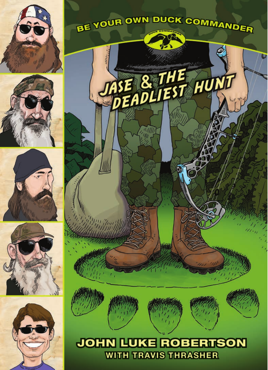









BE YOUR OWN DUCK COMMANDER

TASE & THE HUNT

 $\omega$ 



# **JOHN LUKE ROBERTSON WITH TRAVIS THRASHER**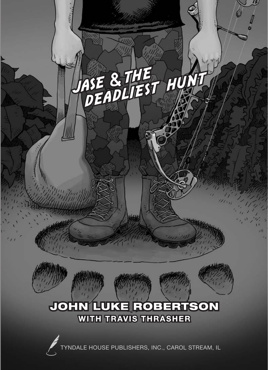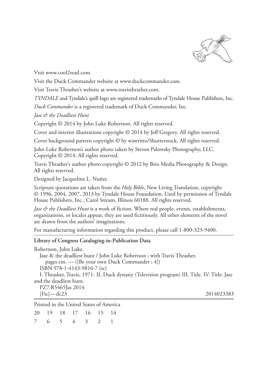

Visit www.cool2read.com.

Visit the Duck Commander website at www.duckcommander.com.

Visit Travis Thrasher's website at www.travisthrasher.com.

*TYNDALE* and Tyndale's quill logo are registered trademarks of Tyndale House Publishers, Inc.

*Duck Commander* is a registered trademark of Duck Commander, Inc.

*Jase & the Deadliest Hunt*

Copyright © 2014 by John Luke Robertson. All rights reserved.

Cover and interior illustrations copyright © 2014 by Jeff Gregory. All rights reserved.

Cover background pattern copyright © by wawritto/Shutterstock. All rights reserved.

John Luke Robertson's author photo taken by Steven Palowsky Photography, LLC. Copyright © 2014. All rights reserved.

Travis Thrasher's author photo copyright © 2012 by Brio Media Photography & Design. All rights reserved.

Designed by Jacqueline L. Nuñez

Scripture quotations are taken from the *Holy Bible*, New Living Translation, copyright © 1996, 2004, 2007, 2013 by Tyndale House Foundation. Used by permission of Tyndale House Publishers, Inc., Carol Stream, Illinois 60188. All rights reserved.

*Jase & the Deadliest Hunt* is a work of fiction. Where real people, events, establishments, organizations, or locales appear, they are used fictitiously. All other elements of the novel are drawn from the authors' imaginations.

For manufacturing information regarding this product, please call 1-800-323-9400.

#### **Library of Congress Cataloging-in-Publication Data**

| Robertson, John Luke.                                                                        |            |
|----------------------------------------------------------------------------------------------|------------|
| Jase & the deadliest hunt / John Luke Robertson; with Travis Thrasher.                       |            |
| pages cm. — ([Be your own Duck Commander; 4])                                                |            |
| ISBN 978-1-4143-9816-7 (sc)                                                                  |            |
| I. Thrasher, Travis, 1971- II. Duck dynasty (Television program) III. Title. IV. Title: Jase |            |
| and the deadliest hunt.                                                                      |            |
| PZ7.R5465Jas 2014                                                                            |            |
| $[Ficl - dc23]$                                                                              | 2014023383 |
| Printed in the United States of America                                                      |            |
|                                                                                              |            |

|  |  | 20  19  18  17  16  15  14 |  |
|--|--|----------------------------|--|
|  |  | 7 6 5 4 3 2 1              |  |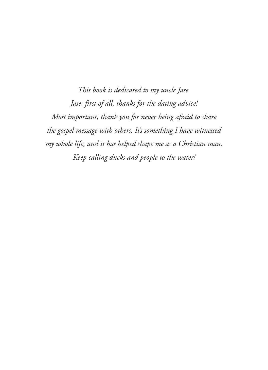*This book is dedicated to my uncle Jase. Jase, first of all, thanks for the dating advice! Most important, thank you for never being afraid to share the gospel message with others. It's something I have witnessed my whole life, and it has helped shape me as a Christian man. Keep calling ducks and people to the water!*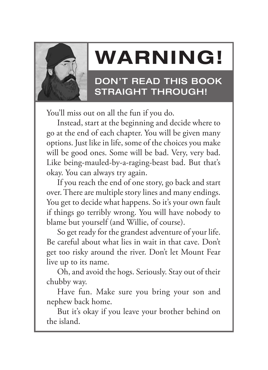

# **Warning!**

### Don't read this book straight through!

You'll miss out on all the fun if you do.

Instead, start at the beginning and decide where to go at the end of each chapter. You will be given many options. Just like in life, some of the choices you make will be good ones. Some will be bad. Very, very bad. Like being-mauled-by-a-raging-beast bad. But that's okay. You can always try again.

If you reach the end of one story, go back and start over. There are multiple story lines and many endings. You get to decide what happens. So it's your own fault if things go terribly wrong. You will have nobody to blame but yourself (and Willie, of course).

So get ready for the grandest adventure of your life. Be careful about what lies in wait in that cave. Don't get too risky around the river. Don't let Mount Fear live up to its name.

Oh, and avoid the hogs. Seriously. Stay out of their chubby way.

Have fun. Make sure you bring your son and nephew back home.

But it's okay if you leave your brother behind on the island.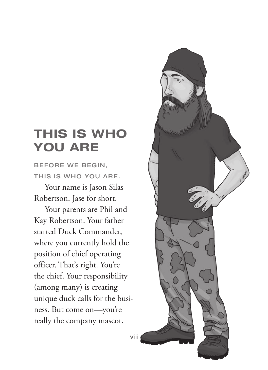# **This Is Who You Are**

BEFORE WE BEGIN, this is who you are.

Your name is Jason Silas Robertson. Jase for short.

Your parents are Phil and Kay Robertson. Your father started Duck Commander, where you currently hold the position of chief operating officer. That's right. You're the chief. Your responsibility (among many) is creating unique duck calls for the business. But come on—you're really the company mascot.

vii

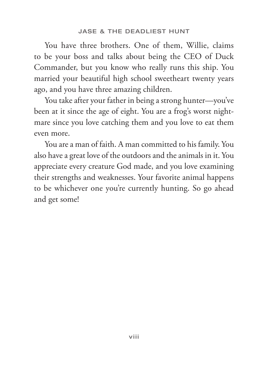You have three brothers. One of them, Willie, claims to be your boss and talks about being the CEO of Duck Commander, but you know who really runs this ship. You married your beautiful high school sweetheart twenty years ago, and you have three amazing children.

You take after your father in being a strong hunter—you've been at it since the age of eight. You are a frog's worst nightmare since you love catching them and you love to eat them even more.

You are a man of faith. A man committed to his family. You also have a great love of the outdoors and the animals in it. You appreciate every creature God made, and you love examining their strengths and weaknesses. Your favorite animal happens to be whichever one you're currently hunting. So go ahead and get some!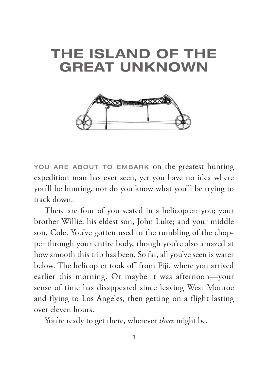# **The Island of the Great Unknown**



YOU ARE ABOUT TO EMBARK on the greatest hunting expedition man has ever seen, yet you have no idea where you'll be hunting, nor do you know what you'll be trying to track down.

There are four of you seated in a helicopter: you; your brother Willie; his eldest son, John Luke; and your middle son, Cole. You've gotten used to the rumbling of the chopper through your entire body, though you're also amazed at how smooth this trip has been. So far, all you've seen is water below. The helicopter took off from Fiji, where you arrived earlier this morning. Or maybe it was afternoon— your sense of time has disappeared since leaving West Monroe and flying to Los Angeles, then getting on a flight lasting over eleven hours.

You're ready to get there, wherever *there* might be.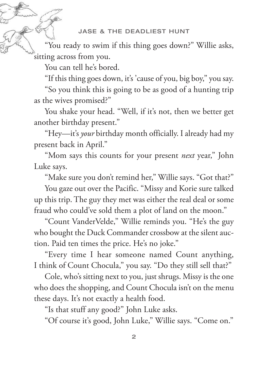#### Jase & the Deadliest Hunt

"You ready to swim if this thing goes down?" Willie asks, sitting across from you.

You can tell he's bored.

"If this thing goes down, it's 'cause of you, big boy," you say.

"So you think this is going to be as good of a hunting trip as the wives promised?"

You shake your head. "Well, if it's not, then we better get another birthday present."

"Hey—it 's *your* birthday month officially. I already had my present back in April."

"Mom says this counts for your present *next* year," John Luke says.

"Make sure you don't remind her," Willie says. "Got that?"

You gaze out over the Pacific. "Missy and Korie sure talked up this trip. The guy they met was either the real deal or some fraud who could've sold them a plot of land on the moon."

"Count VanderVelde," Willie reminds you. "He's the guy who bought the Duck Commander crossbow at the silent auction. Paid ten times the price. He's no joke."

"Every time I hear someone named Count anything, I think of Count Chocula," you say. "Do they still sell that?"

Cole, who's sitting next to you, just shrugs. Missy is the one who does the shopping, and Count Chocula isn't on the menu these days. It's not exactly a health food.

"Is that stuff any good?" John Luke asks.

"Of course it's good, John Luke," Willie says. "Come on."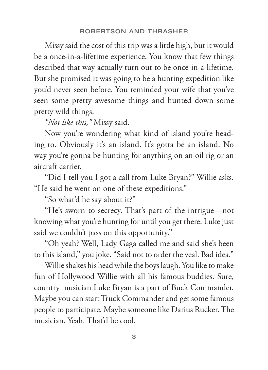Missy said the cost of this trip was a little high, but it would be a once-in-a-lifetime experience. You know that few things described that way actually turn out to be once-in-a-lifetime. But she promised it was going to be a hunting expedition like you'd never seen before. You reminded your wife that you've seen some pretty awesome things and hunted down some pretty wild things.

#### *"Not like this,"* Missy said.

Now you're wondering what kind of island you're heading to. Obviously it's an island. It's gotta be an island. No way you're gonna be hunting for anything on an oil rig or an aircraft carrier.

"Did I tell you I got a call from Luke Bryan?" Willie asks. "He said he went on one of these expeditions."

"So what'd he say about it?"

"He's sworn to secrecy. That's part of the intrigue—not knowing what you're hunting for until you get there. Luke just said we couldn't pass on this opportunity."

"Oh yeah? Well, Lady Gaga called me and said she's been to this island," you joke. "Said not to order the veal. Bad idea."

Willie shakes his head while the boys laugh. You like to make fun of Hollywood Willie with all his famous buddies. Sure, country musician Luke Bryan is a part of Buck Commander. Maybe you can start Truck Commander and get some famous people to participate. Maybe someone like Darius Rucker. The musician. Yeah. That'd be cool.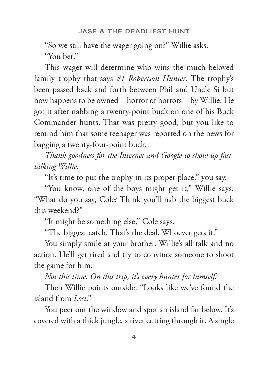"So we still have the wager going on?" Willie asks.

"You bet."

This wager will determine who wins the much-beloved family trophy that says *#1 Robertson Hunter*. The trophy's been passed back and forth between Phil and Uncle Si but now happens to be owned—horror of horrors—by Willie. He got it after nabbing a twenty-point buck on one of his Buck Commander hunts. That was pretty good, but you like to remind him that some teenager was reported on the news for bagging a twenty-four-point buck.

*Thank goodness for the Internet and Google to show up fasttalking Willie.*

"It's time to put the trophy in its proper place," you say.

"You know, one of the boys might get it," Willie says. "What do you say, Cole? Think you'll nab the biggest buck this weekend?"

"It might be something else," Cole says.

"The biggest catch. That's the deal. Whoever gets it."

You simply smile at your brother. Willie's all talk and no action. He'll get tired and try to convince someone to shoot the game for him.

*Not this time. On this trip, it's every hunter for himself.*

Then Willie points outside. "Looks like we've found the island from *Lost*."

You peer out the window and spot an island far below. It's covered with a thick jungle, a river cutting through it. A single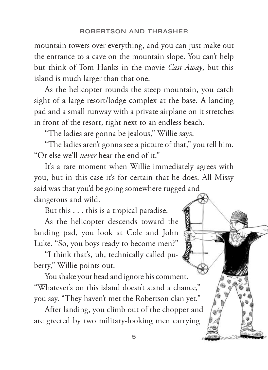mountain towers over everything, and you can just make out the entrance to a cave on the mountain slope. You can't help but think of Tom Hanks in the movie *Cast Away*, but this island is much larger than that one.

As the helicopter rounds the steep mountain, you catch sight of a large resort/lodge complex at the base. A landing pad and a small runway with a private airplane on it stretches in front of the resort, right next to an endless beach.

"The ladies are gonna be jealous," Willie says.

"The ladies aren't gonna see a picture of that," you tell him. "Or else we'll *never* hear the end of it."

It's a rare moment when Willie immediately agrees with you, but in this case it's for certain that he does. All Missy said was that you'd be going somewhere rugged and dangerous and wild.

But this . . . this is a tropical paradise.

As the helicopter descends toward the landing pad, you look at Cole and John Luke. "So, you boys ready to become men?"

"I think that's, uh, technically called puberty," Willie points out.

You shake your head and ignore his comment. "Whatever's on this island doesn't stand a chance," you say. "They haven't met the Robertson clan yet."

After landing, you climb out of the chopper and are greeted by two military- looking men carrying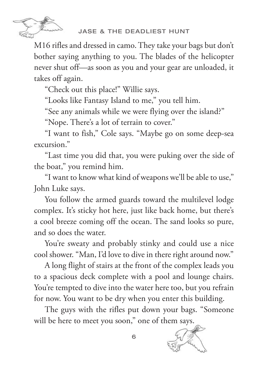

M16 rifles and dressed in camo. They take your bags but don't bother saying anything to you. The blades of the helicopter never shut off—as soon as you and your gear are unloaded, it takes off again.

"Check out this place!" Willie says.

"Looks like Fantasy Island to me," you tell him.

"See any animals while we were flying over the island?"

"Nope. There's a lot of terrain to cover."

"I want to fish," Cole says. "Maybe go on some deep-sea excursion."

"Last time you did that, you were puking over the side of the boat," you remind him.

"I want to know what kind of weapons we'll be able to use," John Luke says.

You follow the armed guards toward the multilevel lodge complex. It's sticky hot here, just like back home, but there's a cool breeze coming off the ocean. The sand looks so pure, and so does the water.

You're sweaty and probably stinky and could use a nice cool shower. "Man, I'd love to dive in there right around now."

A long flight of stairs at the front of the complex leads you to a spacious deck complete with a pool and lounge chairs. You're tempted to dive into the water here too, but you refrain for now. You want to be dry when you enter this building.

The guys with the rifles put down your bags. "Someone will be here to meet you soon," one of them says.



6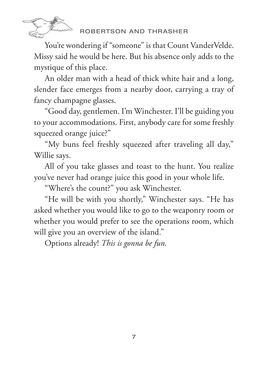

### robertson and thrasher

You're wondering if "someone" is that Count VanderVelde. Missy said he would be here. But his absence only adds to the mystique of this place.

An older man with a head of thick white hair and a long, slender face emerges from a nearby door, carrying a tray of fancy champagne glasses.

"Good day, gentlemen. I'm Winchester. I'll be guiding you to your accommodations. First, anybody care for some freshly squeezed orange juice?"

"My buns feel freshly squeezed after traveling all day," Willie says.

All of you take glasses and toast to the hunt. You realize you've never had orange juice this good in your whole life.

"Where's the count?" you ask Winchester.

"He will be with you shortly," Winchester says. "He has asked whether you would like to go to the weaponry room or whether you would prefer to see the operations room, which will give you an overview of the island."

Options already! *This is gonna be fun.*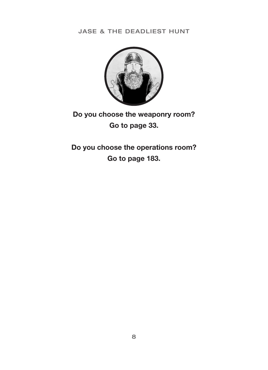Jase & the Deadliest Hunt



**Do you choose the weaponry room? Go to page 33.** 

**Do you choose the operations room? Go to page 183.**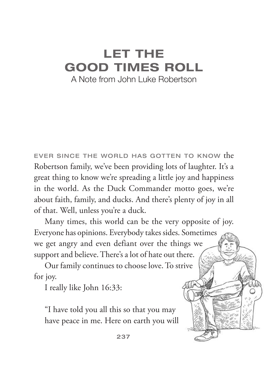## **Let the Good Times Roll** A Note from John Luke Robertson

Ever since the world has gotten to know the Robertson family, we've been providing lots of laughter. It's a great thing to know we're spreading a little joy and happiness in the world. As the Duck Commander motto goes, we're about faith, family, and ducks. And there's plenty of joy in all of that. Well, unless you're a duck.

Many times, this world can be the very opposite of joy. Everyone has opinions. Everybody takes sides. Sometimes we get angry and even defiant over the things we support and believe. There's a lot of hate out there.

Our family continues to choose love. To strive for joy.

I really like John 16:33:

"I have told you all this so that you may have peace in me. Here on earth you will